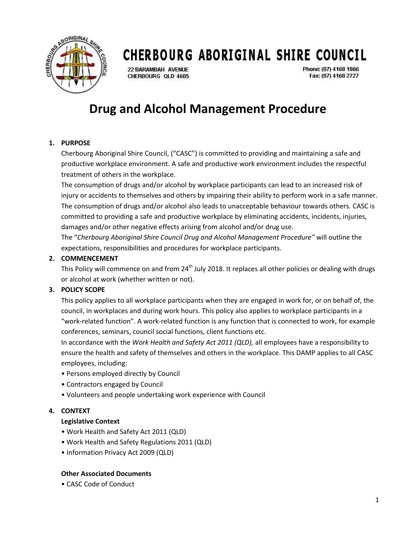

**22 BARAMBAH AVENUE** CHERBOURG OLD 4605

Phone: (07) 4168 1866 Fax: (07) 4168 2727

### **Drug and Alcohol Management Procedure**

#### **1. PURPOSE**

Cherbourg Aboriginal Shire Council, ("CASC") is committed to providing and maintaining a safe and productive workplace environment. A safe and productive work environment includes the respectful treatment of others in the workplace.

The consumption of drugs and/or alcohol by workplace participants can lead to an increased risk of injury or accidents to themselves and others by impairing their ability to perform work in a safe manner. The consumption of drugs and/or alcohol also leads to unacceptable behaviour towards others. CASC is committed to providing a safe and productive workplace by eliminating accidents, incidents, injuries, damages and/or other negative effects arising from alcohol and/or drug use.

The "*Cherbourg Aboriginal Shire Council Drug and Alcohol Management Procedure"* will outline the expectations, responsibilities and procedures for workplace participants.

#### **2. COMMENCEMENT**

This Policy will commence on and from 24<sup>th</sup> July 2018. It replaces all other policies or dealing with drugs or alcohol at work (whether written or not).

#### **3. POLICY SCOPE**

This policy applies to all workplace participants when they are engaged in work for, or on behalf of, the council, in workplaces and during work hours. This policy also applies to workplace participants in a "work-related function". A work-related function is any function that is connected to work, for example conferences, seminars, council social functions, client functions etc.

In accordance with the *Work Health and Safety Act 2011 (QLD),* all employees have a responsibility to ensure the health and safety of themselves and others in the workplace. This DAMP applies to all CASC employees, including:

- Persons employed directly by Council
- Contractors engaged by Council
- Volunteers and people undertaking work experience with Council

#### **4. CONTEXT**

#### **Legislative Context**

- Work Health and Safety Act 2011 (QLD)
- Work Health and Safety Regulations 2011 (QLD)
- Information Privacy Act 2009 (QLD)

#### **Other Associated Documents**

• CASC Code of Conduct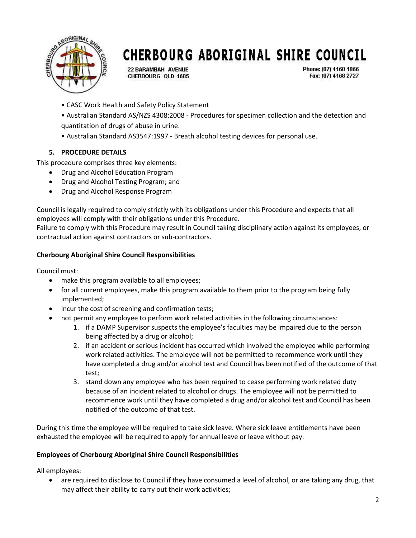

**22 BARAMBAH AVENUE** CHERBOURG OLD 4605

Phone: (07) 4168 1866 Fax: (07) 4168 2727

• CASC Work Health and Safety Policy Statement

• Australian Standard AS/NZS 4308:2008 - Procedures for specimen collection and the detection and quantitation of drugs of abuse in urine.

• Australian Standard AS3547:1997 - Breath alcohol testing devices for personal use.

#### **5. PROCEDURE DETAILS**

This procedure comprises three key elements:

- Drug and Alcohol Education Program
- Drug and Alcohol Testing Program; and
- Drug and Alcohol Response Program

Council is legally required to comply strictly with its obligations under this Procedure and expects that all employees will comply with their obligations under this Procedure.

Failure to comply with this Procedure may result in Council taking disciplinary action against its employees, or contractual action against contractors or sub-contractors.

#### **Cherbourg Aboriginal Shire Council Responsibilities**

Council must:

- make this program available to all employees;
- for all current employees, make this program available to them prior to the program being fully implemented;
- incur the cost of screening and confirmation tests;
- not permit any employee to perform work related activities in the following circumstances:
	- 1. if a DAMP Supervisor suspects the employee's faculties may be impaired due to the person being affected by a drug or alcohol;
	- 2. if an accident or serious incident has occurred which involved the employee while performing work related activities. The employee will not be permitted to recommence work until they have completed a drug and/or alcohol test and Council has been notified of the outcome of that test;
	- 3. stand down any employee who has been required to cease performing work related duty because of an incident related to alcohol or drugs. The employee will not be permitted to recommence work until they have completed a drug and/or alcohol test and Council has been notified of the outcome of that test.

During this time the employee will be required to take sick leave. Where sick leave entitlements have been exhausted the employee will be required to apply for annual leave or leave without pay.

#### **Employees of Cherbourg Aboriginal Shire Council Responsibilities**

All employees:

 are required to disclose to Council if they have consumed a level of alcohol, or are taking any drug, that may affect their ability to carry out their work activities;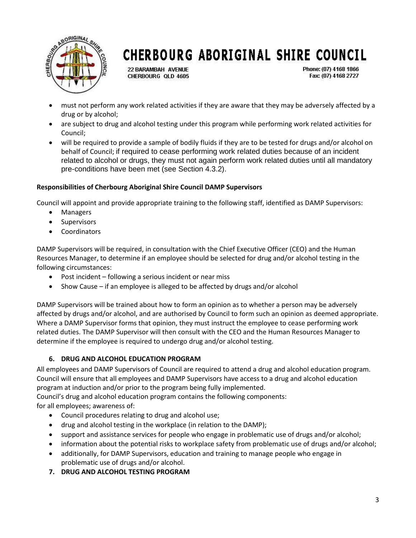

**22 BARAMBAH AVENUE** CHERBOURG OLD 4605 Phone: (07) 4168 1866 Fax: (07) 4168 2727

- must not perform any work related activities if they are aware that they may be adversely affected by a drug or by alcohol;
- are subject to drug and alcohol testing under this program while performing work related activities for Council;
- will be required to provide a sample of bodily fluids if they are to be tested for drugs and/or alcohol on behalf of Council; if required to cease performing work related duties because of an incident related to alcohol or drugs, they must not again perform work related duties until all mandatory pre-conditions have been met (see Section 4.3.2).

#### **Responsibilities of Cherbourg Aboriginal Shire Council DAMP Supervisors**

Council will appoint and provide appropriate training to the following staff, identified as DAMP Supervisors:

- Managers
- Supervisors
- **Coordinators**

DAMP Supervisors will be required, in consultation with the Chief Executive Officer (CEO) and the Human Resources Manager, to determine if an employee should be selected for drug and/or alcohol testing in the following circumstances:

- Post incident following a serious incident or near miss
- Show Cause if an employee is alleged to be affected by drugs and/or alcohol

DAMP Supervisors will be trained about how to form an opinion as to whether a person may be adversely affected by drugs and/or alcohol, and are authorised by Council to form such an opinion as deemed appropriate. Where a DAMP Supervisor forms that opinion, they must instruct the employee to cease performing work related duties. The DAMP Supervisor will then consult with the CEO and the Human Resources Manager to determine if the employee is required to undergo drug and/or alcohol testing.

#### **6. DRUG AND ALCOHOL EDUCATION PROGRAM**

All employees and DAMP Supervisors of Council are required to attend a drug and alcohol education program. Council will ensure that all employees and DAMP Supervisors have access to a drug and alcohol education program at induction and/or prior to the program being fully implemented.

Council's drug and alcohol education program contains the following components:

for all employees; awareness of:

- Council procedures relating to drug and alcohol use;
- drug and alcohol testing in the workplace (in relation to the DAMP);
- support and assistance services for people who engage in problematic use of drugs and/or alcohol;
- information about the potential risks to workplace safety from problematic use of drugs and/or alcohol;
- additionally, for DAMP Supervisors, education and training to manage people who engage in problematic use of drugs and/or alcohol.
- **7. DRUG AND ALCOHOL TESTING PROGRAM**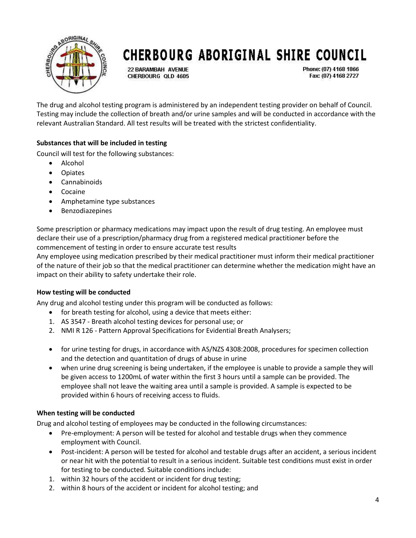

**22 BARAMBAH AVENUE** CHERBOURG OLD 4605

Phone: (07) 4168 1866 Fax: (07) 4168 2727

The drug and alcohol testing program is administered by an independent testing provider on behalf of Council. Testing may include the collection of breath and/or urine samples and will be conducted in accordance with the relevant Australian Standard. All test results will be treated with the strictest confidentiality.

#### **Substances that will be included in testing**

Council will test for the following substances:

- Alcohol
- Opiates
- Cannabinoids
- Cocaine
- Amphetamine type substances
- Benzodiazepines

Some prescription or pharmacy medications may impact upon the result of drug testing. An employee must declare their use of a prescription/pharmacy drug from a registered medical practitioner before the commencement of testing in order to ensure accurate test results

Any employee using medication prescribed by their medical practitioner must inform their medical practitioner of the nature of their job so that the medical practitioner can determine whether the medication might have an impact on their ability to safety undertake their role.

#### **How testing will be conducted**

Any drug and alcohol testing under this program will be conducted as follows:

- for breath testing for alcohol, using a device that meets either:
- 1. AS 3547 Breath alcohol testing devices for personal use; or
- 2. NMI R 126 Pattern Approval Specifications for Evidential Breath Analysers;
- for urine testing for drugs, in accordance with AS/NZS 4308:2008, procedures for specimen collection and the detection and quantitation of drugs of abuse in urine
- when urine drug screening is being undertaken, if the employee is unable to provide a sample they will be given access to 1200mL of water within the first 3 hours until a sample can be provided. The employee shall not leave the waiting area until a sample is provided. A sample is expected to be provided within 6 hours of receiving access to fluids.

#### **When testing will be conducted**

Drug and alcohol testing of employees may be conducted in the following circumstances:

- Pre-employment: A person will be tested for alcohol and testable drugs when they commence employment with Council.
- Post-incident: A person will be tested for alcohol and testable drugs after an accident, a serious incident or near hit with the potential to result in a serious incident. Suitable test conditions must exist in order for testing to be conducted. Suitable conditions include:
- 1. within 32 hours of the accident or incident for drug testing;
- 2. within 8 hours of the accident or incident for alcohol testing; and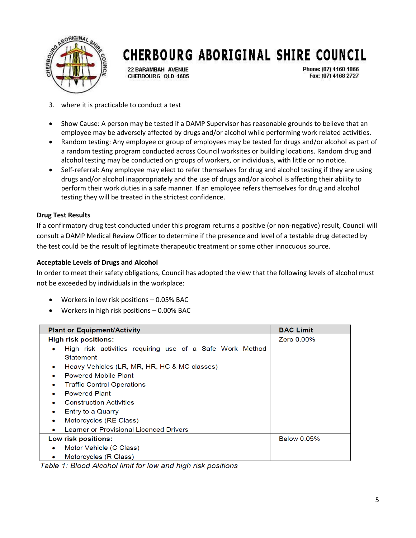

**22 BARAMBAH AVENUE** CHERBOURG OLD 4605 Phone: (07) 4168 1866 Fax: (07) 4168 2727

- 3. where it is practicable to conduct a test
- Show Cause: A person may be tested if a DAMP Supervisor has reasonable grounds to believe that an employee may be adversely affected by drugs and/or alcohol while performing work related activities.
- Random testing: Any employee or group of employees may be tested for drugs and/or alcohol as part of a random testing program conducted across Council worksites or building locations. Random drug and alcohol testing may be conducted on groups of workers, or individuals, with little or no notice.
- Self-referral: Any employee may elect to refer themselves for drug and alcohol testing if they are using drugs and/or alcohol inappropriately and the use of drugs and/or alcohol is affecting their ability to perform their work duties in a safe manner. If an employee refers themselves for drug and alcohol testing they will be treated in the strictest confidence.

#### **Drug Test Results**

If a confirmatory drug test conducted under this program returns a positive (or non-negative) result, Council will consult a DAMP Medical Review Officer to determine if the presence and level of a testable drug detected by the test could be the result of legitimate therapeutic treatment or some other innocuous source.

#### **Acceptable Levels of Drugs and Alcohol**

In order to meet their safety obligations, Council has adopted the view that the following levels of alcohol must not be exceeded by individuals in the workplace:

- Workers in low risk positions 0.05% BAC
- Workers in high risk positions 0.00% BAC

| <b>Plant or Equipment/Activity</b>                            | <b>BAC Limit</b>   |
|---------------------------------------------------------------|--------------------|
| <b>High risk positions:</b>                                   | Zero 0.00%         |
| High risk activities requiring use of a Safe Work Method<br>۰ |                    |
| Statement                                                     |                    |
| Heavy Vehicles (LR, MR, HR, HC & MC classes)<br>$\bullet$     |                    |
| <b>Powered Mobile Plant</b><br>$\bullet$                      |                    |
| <b>Traffic Control Operations</b><br>۰                        |                    |
| <b>Powered Plant</b><br>۰                                     |                    |
| <b>Construction Activities</b>                                |                    |
| Entry to a Quarry<br>۰                                        |                    |
| Motorcycles (RE Class)<br>۰                                   |                    |
| Learner or Provisional Licenced Drivers                       |                    |
| Low risk positions:                                           | <b>Below 0.05%</b> |
| Motor Vehicle (C Class)                                       |                    |
| Motorcycles (R Class)<br>۰                                    |                    |

Table 1: Blood Alcohol limit for low and high risk positions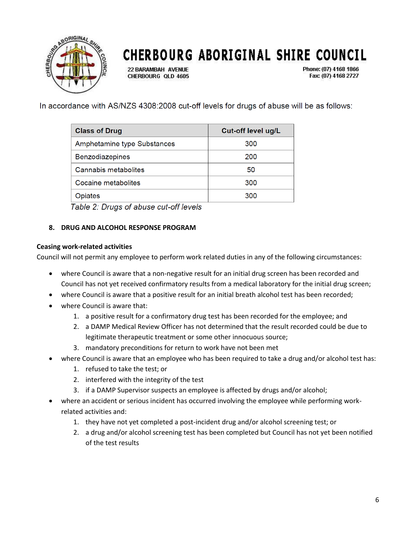

**22 BARAMBAH AVENUE** CHERBOURG OLD 4605 Phone: (07) 4168 1866 Fax: (07) 4168 2727

In accordance with AS/NZS 4308:2008 cut-off levels for drugs of abuse will be as follows:

| <b>Class of Drug</b>        | Cut-off level ug/L |
|-----------------------------|--------------------|
| Amphetamine type Substances | 300                |
| Benzodiazepines             | 200                |
| Cannabis metabolites        | 50                 |
| Cocaine metabolites         | 300                |
| Opiates                     | 300                |

Table 2: Drugs of abuse cut-off levels

#### **8. DRUG AND ALCOHOL RESPONSE PROGRAM**

#### **Ceasing work-related activities**

Council will not permit any employee to perform work related duties in any of the following circumstances:

- where Council is aware that a non-negative result for an initial drug screen has been recorded and Council has not yet received confirmatory results from a medical laboratory for the initial drug screen;
- where Council is aware that a positive result for an initial breath alcohol test has been recorded;
- where Council is aware that:
	- 1. a positive result for a confirmatory drug test has been recorded for the employee; and
	- 2. a DAMP Medical Review Officer has not determined that the result recorded could be due to legitimate therapeutic treatment or some other innocuous source;
	- 3. mandatory preconditions for return to work have not been met
- where Council is aware that an employee who has been required to take a drug and/or alcohol test has:
	- 1. refused to take the test; or
	- 2. interfered with the integrity of the test
	- 3. if a DAMP Supervisor suspects an employee is affected by drugs and/or alcohol;
- where an accident or serious incident has occurred involving the employee while performing workrelated activities and:
	- 1. they have not yet completed a post-incident drug and/or alcohol screening test; or
	- 2. a drug and/or alcohol screening test has been completed but Council has not yet been notified of the test results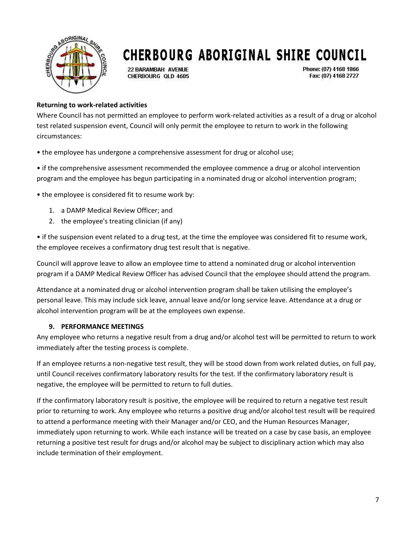

**22 BARAMBAH AVENUE** CHERBOURG OLD 4605 Phone: (07) 4168 1866 Fax: (07) 4168 2727

#### **Returning to work-related activities**

Where Council has not permitted an employee to perform work-related activities as a result of a drug or alcohol test related suspension event, Council will only permit the employee to return to work in the following circumstances:

• the employee has undergone a comprehensive assessment for drug or alcohol use;

• if the comprehensive assessment recommended the employee commence a drug or alcohol intervention program and the employee has begun participating in a nominated drug or alcohol intervention program;

• the employee is considered fit to resume work by:

- 1. a DAMP Medical Review Officer; and
- 2. the employee's treating clinician (if any)

• if the suspension event related to a drug test, at the time the employee was considered fit to resume work, the employee receives a confirmatory drug test result that is negative.

Council will approve leave to allow an employee time to attend a nominated drug or alcohol intervention program if a DAMP Medical Review Officer has advised Council that the employee should attend the program.

Attendance at a nominated drug or alcohol intervention program shall be taken utilising the employee's personal leave. This may include sick leave, annual leave and/or long service leave. Attendance at a drug or alcohol intervention program will be at the employees own expense.

#### **9. PERFORMANCE MEETINGS**

Any employee who returns a negative result from a drug and/or alcohol test will be permitted to return to work immediately after the testing process is complete.

If an employee returns a non-negative test result, they will be stood down from work related duties, on full pay, until Council receives confirmatory laboratory results for the test. If the confirmatory laboratory result is negative, the employee will be permitted to return to full duties.

If the confirmatory laboratory result is positive, the employee will be required to return a negative test result prior to returning to work. Any employee who returns a positive drug and/or alcohol test result will be required to attend a performance meeting with their Manager and/or CEO, and the Human Resources Manager, immediately upon returning to work. While each instance will be treated on a case by case basis, an employee returning a positive test result for drugs and/or alcohol may be subject to disciplinary action which may also include termination of their employment.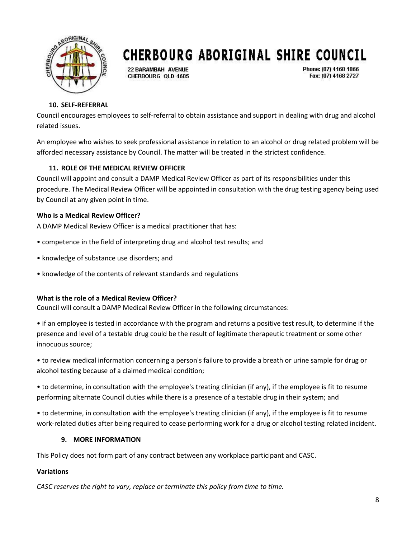

**22 BARAMBAH AVENUE** CHERBOURG OLD 4605 Phone: (07) 4168 1866 Fax: (07) 4168 2727

#### **10. SELF-REFERRAL**

Council encourages employees to self-referral to obtain assistance and support in dealing with drug and alcohol related issues.

An employee who wishes to seek professional assistance in relation to an alcohol or drug related problem will be afforded necessary assistance by Council. The matter will be treated in the strictest confidence.

#### **11. ROLE OF THE MEDICAL REVIEW OFFICER**

Council will appoint and consult a DAMP Medical Review Officer as part of its responsibilities under this procedure. The Medical Review Officer will be appointed in consultation with the drug testing agency being used by Council at any given point in time.

#### **Who is a Medical Review Officer?**

A DAMP Medical Review Officer is a medical practitioner that has:

- competence in the field of interpreting drug and alcohol test results; and
- knowledge of substance use disorders; and
- knowledge of the contents of relevant standards and regulations

#### **What is the role of a Medical Review Officer?**

Council will consult a DAMP Medical Review Officer in the following circumstances:

• if an employee is tested in accordance with the program and returns a positive test result, to determine if the presence and level of a testable drug could be the result of legitimate therapeutic treatment or some other innocuous source;

• to review medical information concerning a person's failure to provide a breath or urine sample for drug or alcohol testing because of a claimed medical condition;

• to determine, in consultation with the employee's treating clinician (if any), if the employee is fit to resume performing alternate Council duties while there is a presence of a testable drug in their system; and

• to determine, in consultation with the employee's treating clinician (if any), if the employee is fit to resume work-related duties after being required to cease performing work for a drug or alcohol testing related incident.

#### **9. MORE INFORMATION**

This Policy does not form part of any contract between any workplace participant and CASC.

#### **Variations**

*CASC reserves the right to vary, replace or terminate this policy from time to time.*